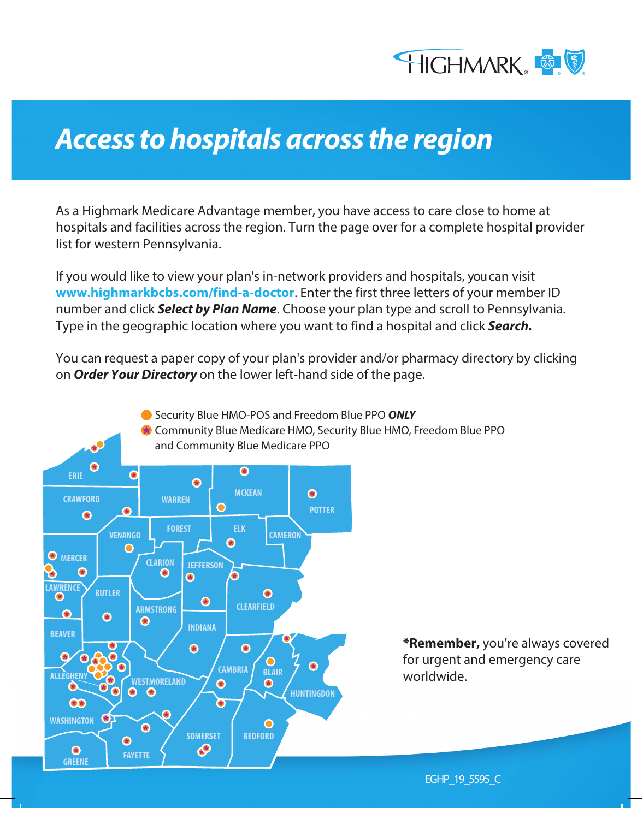

## **Access to hospitals across the region**

As a Highmark Medicare Advantage member, you have access to care close to home at hospitals and facilities across the region. Turn the page over for a complete hospital provider list for western Pennsylvania.

If you would like to view your plan's in-network providers and hospitals, you can visit **www.highmarkbcbs.com/find-a-doctor**. Enter the first three letters of your member ID number and click **Select by Plan Name**. Choose your plan type and scroll to Pennsylvania. Type in the geographic location where you want to find a hospital and click **Search.** 

You can request a paper copy of your plan's provider and/or pharmacy directory by clicking on **Order Your Directory** on the lower left-hand side of the page.